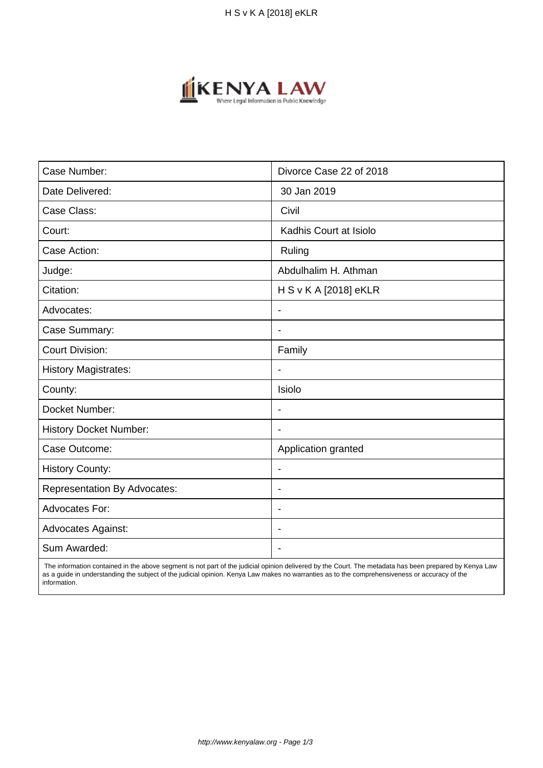

| Case Number:                        | Divorce Case 22 of 2018  |
|-------------------------------------|--------------------------|
| Date Delivered:                     | 30 Jan 2019              |
| Case Class:                         | Civil                    |
| Court:                              | Kadhis Court at Isiolo   |
| Case Action:                        | Ruling                   |
| Judge:                              | Abdulhalim H. Athman     |
| Citation:                           | H S v K A [2018] eKLR    |
| Advocates:                          | $\blacksquare$           |
| Case Summary:                       | $\overline{\phantom{0}}$ |
| <b>Court Division:</b>              | Family                   |
| <b>History Magistrates:</b>         | $\blacksquare$           |
| County:                             | Isiolo                   |
| Docket Number:                      |                          |
| <b>History Docket Number:</b>       | $\overline{\phantom{a}}$ |
| Case Outcome:                       | Application granted      |
| <b>History County:</b>              | $\blacksquare$           |
| <b>Representation By Advocates:</b> | $\blacksquare$           |
| Advocates For:                      | $\overline{\phantom{a}}$ |
| <b>Advocates Against:</b>           |                          |
| Sum Awarded:                        |                          |

 The information contained in the above segment is not part of the judicial opinion delivered by the Court. The metadata has been prepared by Kenya Law as a guide in understanding the subject of the judicial opinion. Kenya Law makes no warranties as to the comprehensiveness or accuracy of the information.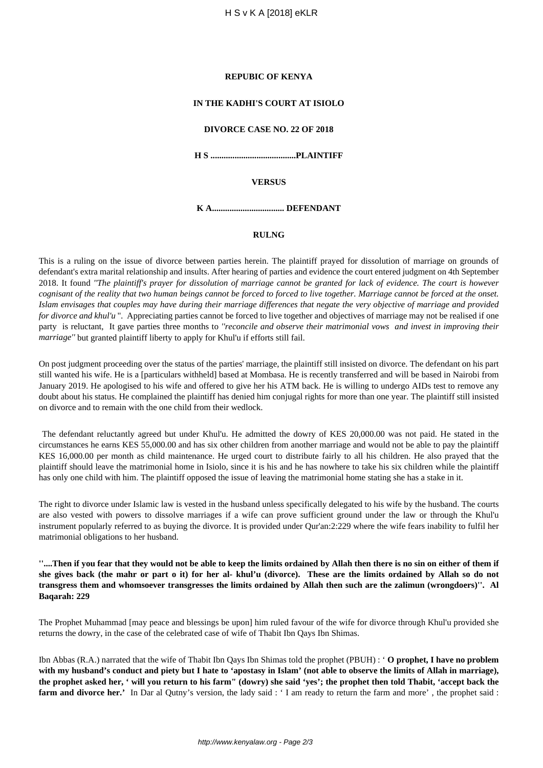#### **REPUBIC OF KENYA**

## **IN THE KADHI'S COURT AT ISIOLO**

# **DIVORCE CASE NO. 22 OF 2018**

**H S .......................................PLAINTIFF**

#### **VERSUS**

**K A................................. DEFENDANT**

## **RULNG**

This is a ruling on the issue of divorce between parties herein. The plaintiff prayed for dissolution of marriage on grounds of defendant's extra marital relationship and insults. After hearing of parties and evidence the court entered judgment on 4th September 2018. It found *''The plaintiff's prayer for dissolution of marriage cannot be granted for lack of evidence. The court is however cognisant of the reality that two human beings cannot be forced to forced to live together. Marriage cannot be forced at the onset. Islam envisages that couples may have during their marriage differences that negate the very objective of marriage and provided for divorce and khul'u* ". Appreciating parties cannot be forced to live together and objectives of marriage may not be realised if one party is reluctant, It gave parties three months to *''reconcile and observe their matrimonial vows and invest in improving their marriage''* but granted plaintiff liberty to apply for Khul'u if efforts still fail.

On post judgment proceeding over the status of the parties' marriage, the plaintiff still insisted on divorce. The defendant on his part still wanted his wife. He is a [particulars withheld] based at Mombasa. He is recently transferred and will be based in Nairobi from January 2019. He apologised to his wife and offered to give her his ATM back. He is willing to undergo AIDs test to remove any doubt about his status. He complained the plaintiff has denied him conjugal rights for more than one year. The plaintiff still insisted on divorce and to remain with the one child from their wedlock.

The defendant reluctantly agreed but under Khul'u. He admitted the dowry of KES 20,000.00 was not paid. He stated in the circumstances he earns KES 55,000.00 and has six other children from another marriage and would not be able to pay the plaintiff KES 16,000.00 per month as child maintenance. He urged court to distribute fairly to all his children. He also prayed that the plaintiff should leave the matrimonial home in Isiolo, since it is his and he has nowhere to take his six children while the plaintiff has only one child with him. The plaintiff opposed the issue of leaving the matrimonial home stating she has a stake in it.

The right to divorce under Islamic law is vested in the husband unless specifically delegated to his wife by the husband. The courts are also vested with powers to dissolve marriages if a wife can prove sufficient ground under the law or through the Khul'u instrument popularly referred to as buying the divorce. It is provided under Qur'an:2:229 where the wife fears inability to fulfil her matrimonial obligations to her husband.

**''....Then if you fear that they would not be able to keep the limits ordained by Allah then there is no sin on either of them if she gives back (the mahr or part o it) for her al- khul'u (divorce). These are the limits ordained by Allah so do not transgress them and whomsoever transgresses the limits ordained by Allah then such are the zalimun (wrongdoers)''. Al Baqarah: 229**

The Prophet Muhammad [may peace and blessings be upon] him ruled favour of the wife for divorce through Khul'u provided she returns the dowry, in the case of the celebrated case of wife of Thabit Ibn Qays Ibn Shimas.

Ibn Abbas (R.A.) narrated that the wife of Thabit Ibn Qays Ibn Shimas told the prophet (PBUH) : ' **O prophet, I have no problem with my husband's conduct and piety but I hate to 'apostasy in Islam' (not able to observe the limits of Allah in marriage), the prophet asked her, ' will you return to his farm" (dowry) she said 'yes'; the prophet then told Thabit, 'accept back the farm and divorce her.'** In Dar al Qutny's version, the lady said : ' I am ready to return the farm and more', the prophet said :